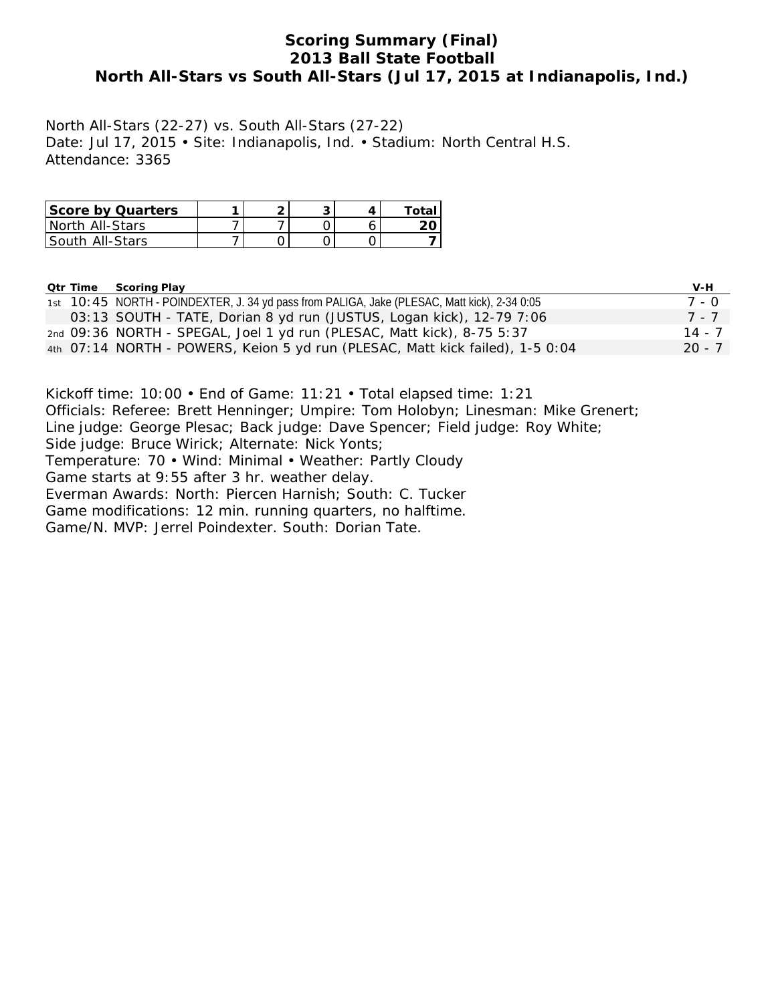# **Scoring Summary (Final) 2013 Ball State Football North All-Stars vs South All-Stars (Jul 17, 2015 at Indianapolis, Ind.)**

North All-Stars (22-27) vs. South All-Stars (27-22) Date: Jul 17, 2015 • Site: Indianapolis, Ind. • Stadium: North Central H.S. Attendance: 3365

| <b>Score by Quarters</b> |  |  | Total |
|--------------------------|--|--|-------|
| North All-Stars          |  |  |       |
| South_All-Stars_         |  |  |       |

|  | <b>Qtr Time Scoring Play</b>                                                                 | V-H      |
|--|----------------------------------------------------------------------------------------------|----------|
|  | 1st 10:45 NORTH - POINDEXTER, J. 34 yd pass from PALIGA, Jake (PLESAC, Matt kick), 2-34 0:05 | 7 - 0    |
|  | 03:13 SOUTH - TATE, Dorian 8 yd run (JUSTUS, Logan kick), 12-79 7:06                         | 7 - 7    |
|  | 2nd 09:36 NORTH - SPEGAL, Joel 1 yd run (PLESAC, Matt kick), 8-75 5:37                       | 14 - 7   |
|  | 4th 07:14 NORTH - POWERS, Keion 5 yd run (PLESAC, Matt kick failed), 1-5 0:04                | $20 - 7$ |

Kickoff time: 10:00 • End of Game: 11:21 • Total elapsed time: 1:21 Officials: Referee: Brett Henninger; Umpire: Tom Holobyn; Linesman: Mike Grenert; Line judge: George Plesac; Back judge: Dave Spencer; Field judge: Roy White; Side judge: Bruce Wirick; Alternate: Nick Yonts; Temperature: 70 • Wind: Minimal • Weather: Partly Cloudy Game starts at 9:55 after 3 hr. weather delay. Everman Awards: North: Piercen Harnish; South: C. Tucker Game modifications: 12 min. running quarters, no halftime. Game/N. MVP: Jerrel Poindexter. South: Dorian Tate.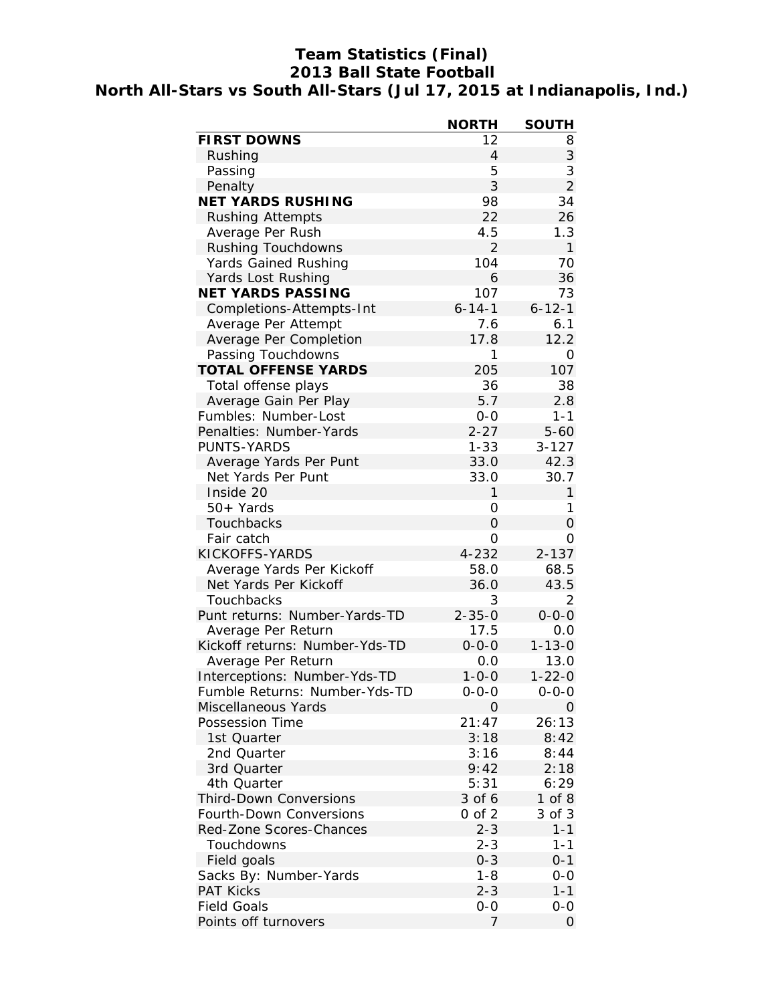# **Team Statistics (Final) 2013 Ball State Football North All-Stars vs South All-Stars (Jul 17, 2015 at Indianapolis, Ind.)**

|                                | <b>NORTH</b>   | <b>SOUTH</b>   |
|--------------------------------|----------------|----------------|
| <b>FIRST DOWNS</b>             | 12             | 8              |
| Rushing                        | $\overline{4}$ | 3              |
| Passing                        | 5              | 3              |
| Penalty                        | 3              | $\overline{2}$ |
| <b>NET YARDS RUSHING</b>       | 98             | 34             |
| <b>Rushing Attempts</b>        | 22             | 26             |
| Average Per Rush               | 4.5            | 1.3            |
| Rushing Touchdowns             | $\overline{2}$ | $\mathbf{1}$   |
| Yards Gained Rushing           | 104            | 70             |
| Yards Lost Rushing             | 6              | 36             |
| <b>NET YARDS PASSING</b>       | 107            | 73             |
| Completions-Attempts-Int       | $6 - 14 - 1$   | $6 - 12 - 1$   |
| Average Per Attempt            | 7.6            | 6.1            |
| Average Per Completion         | 17.8           | 12.2           |
| Passing Touchdowns             | 1              | 0              |
| <b>TOTAL OFFENSE YARDS</b>     | 205            | 107            |
| Total offense plays            | 36             | 38             |
| Average Gain Per Play          | 5.7            | 2.8            |
| Fumbles: Number-Lost           | $0 - 0$        | $1 - 1$        |
| Penalties: Number-Yards        | $2 - 27$       | $5 - 60$       |
| <b>PUNTS-YARDS</b>             | $1 - 33$       | $3 - 127$      |
| Average Yards Per Punt         | 33.0           | 42.3           |
| Net Yards Per Punt             | 33.0           | 30.7           |
| Inside 20                      | 1              | 1              |
|                                |                | 1              |
| 50+ Yards                      | 0              |                |
| Touchbacks                     | 0              | 0              |
| Fair catch                     | 0              | 0              |
| KICKOFFS-YARDS                 | 4-232          | $2 - 137$      |
| Average Yards Per Kickoff      | 58.0           | 68.5           |
| Net Yards Per Kickoff          | 36.0           | 43.5           |
| Touchbacks                     | 3              | 2              |
| Punt returns: Number-Yards-TD  | $2 - 35 - 0$   | $0 - 0 - 0$    |
| Average Per Return             | 17.5           | 0.0            |
| Kickoff returns: Number-Yds-TD | $0 - 0 - 0$    | $1 - 13 - 0$   |
| Average Per Return             | 0.0            | 13.0           |
| Interceptions: Number-Yds-TD   | $1 - 0 - 0$    | $1 - 22 - 0$   |
| Fumble Returns: Number-Yds-TD  | $0 - 0 - 0$    | $0 - 0 - 0$    |
| Miscellaneous Yards            | O              | 0              |
| Possession Time                | 21:47          | 26:13          |
| 1st Quarter                    | 3:18           | 8:42           |
| 2nd Quarter                    | 3:16           | 8:44           |
| 3rd Quarter                    | 9:42           | 2:18           |
| 4th Quarter                    | 5:31           | 6:29           |
| <b>Third-Down Conversions</b>  | 3 of 6         | $1$ of $8$     |
| Fourth-Down Conversions        | $0$ of $2$     | 3 of 3         |
| Red-Zone Scores-Chances        | $2 - 3$        | $1 - 1$        |
| Touchdowns                     | $2 - 3$        | $1 - 1$        |
| Field goals                    | $0 - 3$        | $0 - 1$        |
| Sacks By: Number-Yards         | $1 - 8$        | $0-0$          |
| <b>PAT Kicks</b>               | $2 - 3$        | $1 - 1$        |
| <b>Field Goals</b>             | $0-0$          | 0-0            |
| Points off turnovers           | 7              | 0              |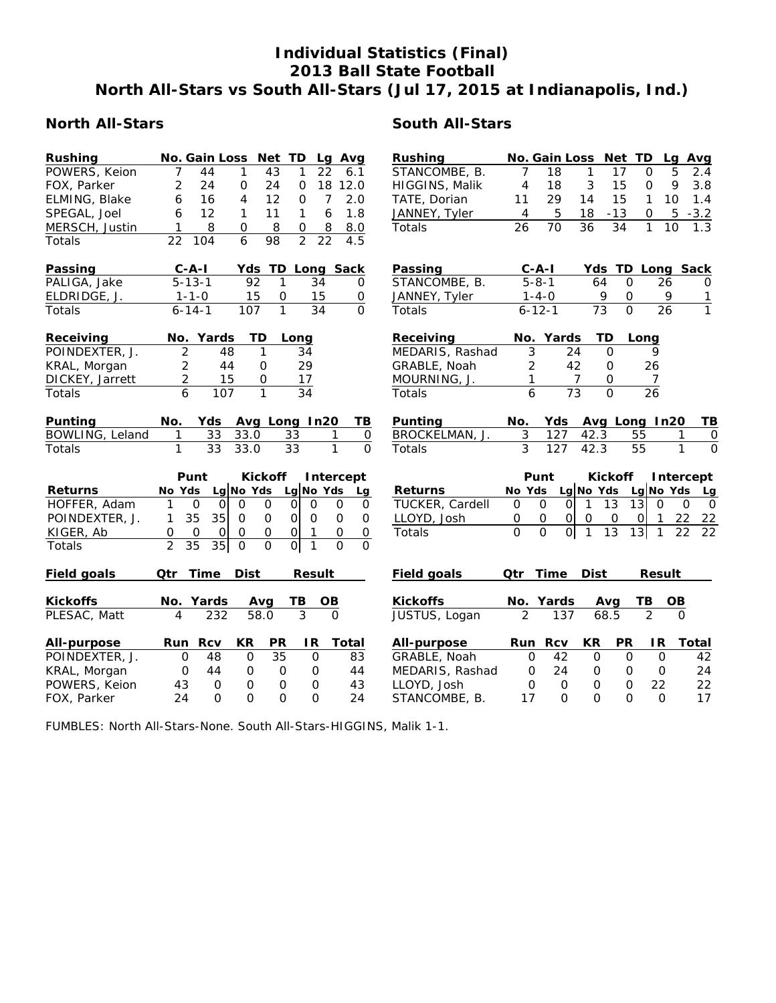# **Individual Statistics (Final) 2013 Ball State Football North All-Stars vs South All-Stars (Jul 17, 2015 at Indianapolis, Ind.)**

# **North All-Stars South All-Stars**

| <b>Rushing</b>     | No. Gain Loss Net TD     |                            |                    |                 | Lg Avg                   |                     | Rushing         |                | No. Gain Loss Net TD |                |                 |                  | Lg Avg       |                |
|--------------------|--------------------------|----------------------------|--------------------|-----------------|--------------------------|---------------------|-----------------|----------------|----------------------|----------------|-----------------|------------------|--------------|----------------|
| POWERS, Keion      | 7                        | 44<br>1                    | 43                 | 1               | 22                       | 6.1                 | STANCOMBE, B.   | $\overline{7}$ | 18                   | 1              | 17              | 0                | 5            | 2.4            |
| FOX, Parker        | 2                        | 24<br>$\mathbf 0$          | 24                 | $\mathbf 0$     | 18 12.0                  |                     | HIGGINS, Malik  | $\overline{4}$ | 18                   | 3              | 15              | $\Omega$         | 9            | 3.8            |
| ELMING, Blake      | 6                        | 16<br>4                    | 12                 | $\mathbf{O}$    | $\overline{7}$           | 2.0                 | TATE, Dorian    | 11             | 29                   | 14             | 15              | $\mathbf{1}$     | 10           | 1.4            |
| SPEGAL, Joel       | 6                        | 12<br>1                    | 11                 | 1               | 6                        | 1.8                 | JANNEY, Tyler   | 4              | 5                    | 18             | $-13$           | 0                | 5            | $-3.2$         |
| MERSCH, Justin     | 1                        | 8<br>0                     | 8                  | 0               | 8                        | 8.0                 | Totals          | 26             | 70                   | 36             | 34              | 1                | 10           |                |
| Totals             | 22<br>104                | $\overline{6}$             | 98                 | $\overline{2}$  | $\overline{22}$          | 4.5                 |                 |                |                      |                |                 |                  |              |                |
| Passing            | $C - A - I$              |                            | Yds TD Long Sack   |                 |                          |                     | Passing         |                | $C-A-I$              |                |                 | Yds TD Long Sack |              |                |
| PALIGA, Jake       | $5 - 13 - 1$             |                            | 92<br>$\mathbf{1}$ |                 | 34                       | 0                   | STANCOMBE, B.   |                | $5 - 8 - 1$          | 64             | $\mathbf 0$     | 26               |              | 0              |
| ELDRIDGE, J.       | $1 - 1 - 0$              |                            | 15<br>$\mathbf 0$  |                 | 15                       | $\mathsf{O}\xspace$ | JANNEY, Tyler   |                | $1 - 4 - 0$          | 9              | $\mathbf 0$     | 9                |              | 1              |
| <b>Totals</b>      | $6 - 14 - 1$             | 107                        | $\mathbf{1}$       |                 | 34                       | $\Omega$            | Totals          |                | $6 - 12 - 1$         | 73             | $\Omega$        | 26               |              | $\mathbf{1}$   |
| Receiving          | No. Yards                |                            | TD                 | Long            |                          |                     | Receiving       |                | No. Yards            | <b>TD</b>      |                 | Long             |              |                |
| POINDEXTER, J.     | $\overline{2}$           | 48                         | 1                  | 34              |                          |                     | MEDARIS, Rashad | 3              | 24                   |                | $\mathbf 0$     | 9                |              |                |
| KRAL, Morgan       | $\overline{2}$           | 44                         | 0                  | 29              |                          |                     | GRABLE, Noah    | 2              | 42                   |                | 0               | 26               |              |                |
| DICKEY, Jarrett    | $\overline{2}$           | 15                         | 0                  | 17              |                          |                     | MOURNING, J.    | 1              |                      | $\overline{7}$ | 0               | 7                |              |                |
| Totals             | 6                        | 107                        | $\mathbf{1}$       | $\overline{34}$ |                          |                     | <b>Totals</b>   | 6              | $\overline{73}$      |                | $\overline{O}$  | $\overline{26}$  |              |                |
| Punting            | No.                      | Yds                        | Avg Long In20      |                 |                          | TB                  | Punting         | No.            | Yds                  |                |                 | Avg Long In20    |              | TB             |
| BOWLING, Leland    | 1                        | 33.0<br>33                 |                    | 33              | 1                        | $\mathsf O$         | BROCKELMAN, J.  | 3              | 127                  | 42.3           |                 | 55               | 1            | $\mathbf 0$    |
| Totals             | 1                        | 33<br>33.0                 |                    | 33              | 1                        | $\Omega$            | Totals          | 3              | 127                  | 42.3           |                 | 55               | 1            | $\overline{0}$ |
|                    | Punt                     |                            | <b>Kickoff</b>     |                 | Intercept                |                     |                 |                | Punt                 |                | <b>Kickoff</b>  |                  | Intercept    |                |
| <b>Returns</b>     | No Yds                   | Lg No Yds                  |                    |                 | Lg No Yds                | Lg                  | <b>Returns</b>  | No Yds         |                      | Lg No Yds      |                 | Lg No Yds        |              | Lg             |
| HOFFER, Adam       | $\mathbf{1}$<br>$\Omega$ | $\Omega$<br>$\overline{O}$ | $\Omega$           | $\circ$         | $\Omega$<br>$\mathbf 0$  | $\mathbf 0$         | TUCKER, Cardell | $\Omega$       | 0<br>$\Omega$        | $\mathbf{1}$   | 13              | 13<br>$\Omega$   | $\Omega$     | $\mathsf{O}$   |
| POINDEXTER, J.     | 35<br>1                  | 35<br>$\Omega$             | $\mathbf 0$        | 0               | $\mathbf 0$<br>$\Omega$  | $\mathbf 0$         | LLOYD, Josh     | 0              | 0<br>$\Omega$        | 0              | 0               | 0 <br>1          | 22           | 22             |
| KIGER, Ab          | 0<br>$\mathbf 0$         | $\mathbf 0$<br>$\mathbf 0$ | 0                  | $\overline{O}$  | $\mathbf 0$              | $\mathsf O$         | Totals          | $\overline{0}$ | 하<br>$\overline{0}$  | $\mathbf{1}$   | $\overline{13}$ | 13 <br>1         | 22           | 22             |
| Totals             | $\overline{2}$<br>35     | 35<br>$\mathbf 0$          | $\mathbf{O}$       | $\overline{0}$  | $\mathbf{1}$<br>$\Omega$ | $\Omega$            |                 |                |                      |                |                 |                  |              |                |
| <b>Field goals</b> | <b>Time</b><br>Qtr       | <b>Dist</b>                |                    |                 | <b>Result</b>            |                     | Field goals     | Qtr            | <b>Time</b>          | <b>Dist</b>    |                 | <b>Result</b>    |              |                |
| <b>Kickoffs</b>    | No. Yards                |                            | Avg                | ΤВ              | OВ                       |                     | <b>Kickoffs</b> |                | No. Yards            |                | Avg             | ТВ               | <b>OB</b>    |                |
| PLESAC, Matt       | 4                        | 232                        | 58.0               | 3               | $\Omega$                 |                     | JUSTUS, Logan   | $\overline{2}$ | 137                  |                | 68.5            | $\mathfrak{D}$   | $\Omega$     |                |
| All-purpose        | Run                      | <b>Rcv</b><br>KR           | <b>PR</b>          |                 | IR.                      | <b>Total</b>        | All-purpose     | Run            | <b>Rcv</b>           | KR             | <b>PR</b>       | IR.              | <b>Total</b> |                |
| POINDEXTER, J.     | $\mathbf 0$              | 48<br>$\mathbf 0$          | 35                 |                 | $\mathbf 0$              | 83                  | GRABLE, Noah    | $\mathbf 0$    | 42                   | 0              | $\Omega$        | $\mathbf 0$      |              | 42             |
| KRAL, Morgan       | 0                        | 44<br>$\mathbf 0$          | $\mathbf 0$        |                 | 0                        | 44                  | MEDARIS, Rashad | 0              | 24                   | $\mathbf 0$    | $\Omega$        | $\mathbf 0$      |              | 24             |
| POWERS, Keion      | 43                       | $\mathbf 0$<br>$\mathbf 0$ | $\mathbf 0$        |                 | $\Omega$                 | 43                  | LLOYD, Josh     | $\mathbf 0$    | $\mathbf 0$          | $\Omega$       | $\mathbf 0$     | 22               |              | 22             |

FUMBLES: North All-Stars-None. South All-Stars-HIGGINS, Malik 1-1.

FOX, Parker 24 0 0 0 0 24

STANCOMBE, B. 17 0 0 0 0 17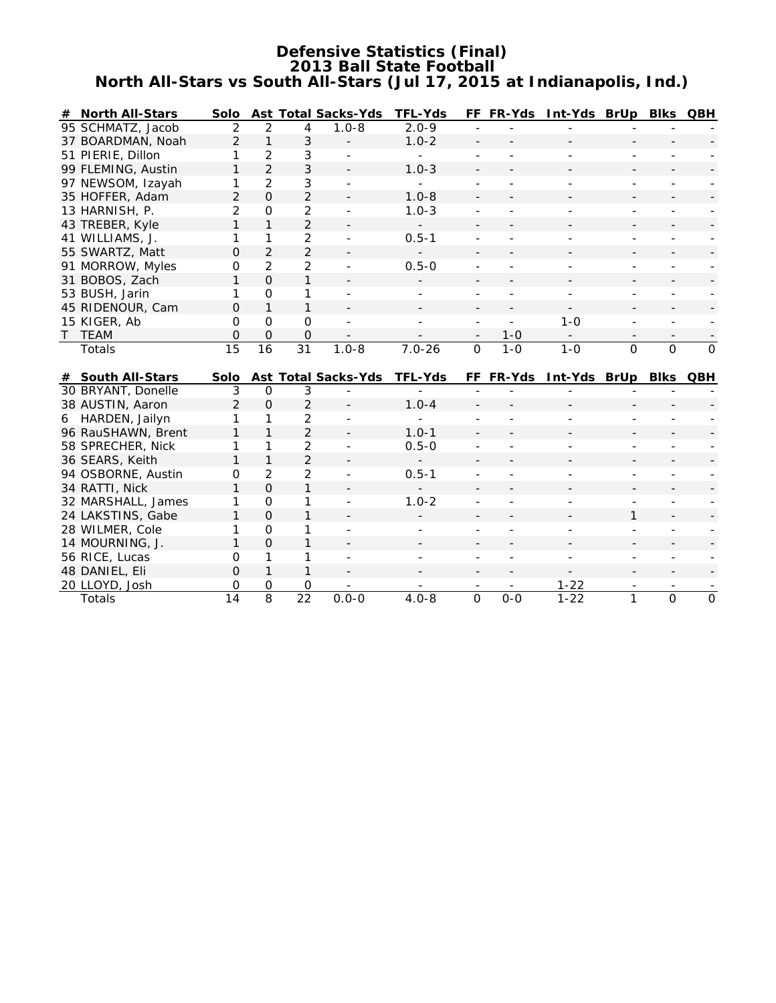# **Defensive Statistics (Final) 2013 Ball State Football North All-Stars vs South All-Stars (Jul 17, 2015 at Indianapolis, Ind.)**

| #            | <b>North All-Stars</b> | <b>Solo</b>    |                               |                      | <b>Ast Total Sacks-Yds</b> | <b>TFL-Yds</b> |                          | FF FR-Yds      | Int-Yds BrUp Blks QBH    |                          |                |                          |
|--------------|------------------------|----------------|-------------------------------|----------------------|----------------------------|----------------|--------------------------|----------------|--------------------------|--------------------------|----------------|--------------------------|
|              | 95 SCHMATZ, Jacob      | 2              | 2                             | 4                    | $1.0 - 8$                  | $2.0 - 9$      |                          |                |                          |                          |                |                          |
|              | 37 BOARDMAN, Noah      | $\overline{2}$ | $\mathbf{1}$                  | 3                    |                            | $1.0 - 2$      |                          |                |                          |                          |                |                          |
|              | 51 PIERIE, Dillon      | 1              | $\overline{2}$                | 3                    |                            |                |                          |                |                          |                          |                |                          |
|              | 99 FLEMING, Austin     | 1              | $\overline{2}$                | 3                    |                            | $1.0 - 3$      |                          |                |                          |                          |                |                          |
|              | 97 NEWSOM, Izayah      | 1              | $\overline{2}$                | $\mathfrak{Z}$       |                            |                |                          |                |                          |                          |                |                          |
|              | 35 HOFFER, Adam        | $\overline{2}$ | $\overline{O}$                | $\overline{2}$       |                            | $1.0 - 8$      |                          |                |                          |                          |                |                          |
|              | 13 HARNISH, P.         | $\overline{2}$ | $\Omega$                      | $\overline{2}$       |                            | $1.0 - 3$      |                          |                |                          |                          |                |                          |
|              | 43 TREBER, Kyle        | $\mathbf{1}$   | $\mathbf{1}$                  | $\overline{2}$       |                            |                |                          |                |                          |                          |                |                          |
|              | 41 WILLIAMS, J.        | 1              | 1                             | $\overline{2}$       |                            | $0.5 - 1$      |                          |                |                          |                          |                |                          |
|              | 55 SWARTZ, Matt        | 0              | $\overline{2}$                | $\overline{2}$       |                            |                |                          |                |                          |                          |                |                          |
|              | 91 MORROW, Myles       | O              | $\overline{2}$                | $\overline{2}$       |                            | $0.5 - 0$      |                          |                |                          |                          |                |                          |
|              | 31 BOBOS, Zach         | 1              | $\Omega$                      | 1                    |                            |                |                          |                |                          |                          |                |                          |
|              | 53 BUSH, Jarin         | 1              | $\Omega$                      | 1                    |                            |                |                          |                |                          |                          |                |                          |
|              | 45 RIDENOUR, Cam       | 0              | $\mathbf{1}$                  | 1                    |                            |                |                          |                | $\overline{\phantom{a}}$ |                          |                | $\overline{\phantom{a}}$ |
|              | 15 KIGER, Ab           | $\Omega$       | $\Omega$                      | $\mathbf 0$          |                            |                |                          | $\overline{a}$ | $1 - 0$                  |                          |                |                          |
| $\mathsf{T}$ | <b>TEAM</b>            | 0              | $\Omega$                      | $\mathbf 0$          |                            |                | $\overline{\phantom{a}}$ | $1 - 0$        | $-$                      | $\overline{\phantom{a}}$ |                | $\overline{\phantom{a}}$ |
|              | Totals                 | 15             | 16                            | $\overline{31}$      | $1.0 - 8$                  | $7.0 - 26$     | $\Omega$                 | $1 - 0$        | $1 - 0$                  | $\Omega$                 | $\Omega$       | $\Omega$                 |
|              |                        |                |                               |                      |                            |                |                          |                |                          |                          |                |                          |
|              |                        |                |                               |                      |                            |                |                          |                |                          |                          |                |                          |
|              | # South All-Stars      | <b>Solo</b>    |                               |                      | <b>Ast Total Sacks-Yds</b> | <b>TFL-Yds</b> |                          | FF FR-Yds      | Int-Yds BrUp Blks QBH    |                          |                |                          |
|              | 30 BRYANT, Donelle     | 3              | $\Omega$                      | 3                    |                            |                |                          |                |                          |                          |                |                          |
|              | 38 AUSTIN, Aaron       | $\overline{2}$ | $\mathbf 0$                   | $\overline{2}$       |                            | $1.0 - 4$      |                          |                |                          |                          |                |                          |
|              | 6 HARDEN, Jailyn       | 1              | 1                             | $\overline{2}$       |                            |                |                          |                |                          |                          |                |                          |
|              | 96 RauSHAWN, Brent     | $\mathbf{1}$   | 1                             | $\overline{2}$       |                            | $1.0 - 1$      |                          |                |                          |                          |                |                          |
|              | 58 SPRECHER, Nick      | 1              | 1                             | $\overline{2}$       |                            | $0.5 - 0$      |                          |                |                          |                          |                |                          |
|              | 36 SEARS, Keith        | 1              | $\mathbf{1}$                  | $\overline{2}$       |                            |                |                          |                |                          |                          |                |                          |
|              | 94 OSBORNE, Austin     | $\Omega$       | 2                             | $\overline{2}$       |                            | $0.5 - 1$      |                          |                |                          |                          |                |                          |
|              | 34 RATTI, Nick         | 1              | $\Omega$                      | $\mathbf{1}$         |                            |                |                          |                |                          |                          |                |                          |
|              | 32 MARSHALL, James     | 1              | $\Omega$                      | 1                    |                            | $1.0 - 2$      |                          |                |                          | $\overline{a}$           |                |                          |
|              | 24 LAKSTINS, Gabe      | 1              | $\Omega$                      | 1                    |                            |                |                          |                |                          | 1                        |                |                          |
|              | 28 WILMER, Cole        | 1              | $\Omega$                      | 1                    | $\sim$                     |                |                          |                | ٠                        |                          |                |                          |
|              | 14 MOURNING, J.        | $\mathbf{1}$   | $\Omega$                      | $\mathbf{1}$         |                            |                |                          |                |                          |                          |                |                          |
|              | 56 RICE, Lucas         | $\Omega$       | 1                             | 1                    | ÷                          |                |                          |                | $\overline{\phantom{0}}$ |                          |                |                          |
|              | 48 DANIEL, Eli         | $\Omega$       | $\mathbf{1}$                  | $\mathbf{1}$         |                            |                |                          |                |                          |                          |                |                          |
|              | 20 LLOYD, Josh         | O              | $\mathbf 0$<br>$\overline{8}$ | 0<br>$\overline{22}$ | $0.0 - 0$                  | $4.0 - 8$      | $\overline{0}$           | $0-0$          | $1 - 22$<br>$1 - 22$     |                          | $\overline{0}$ | $\overline{0}$           |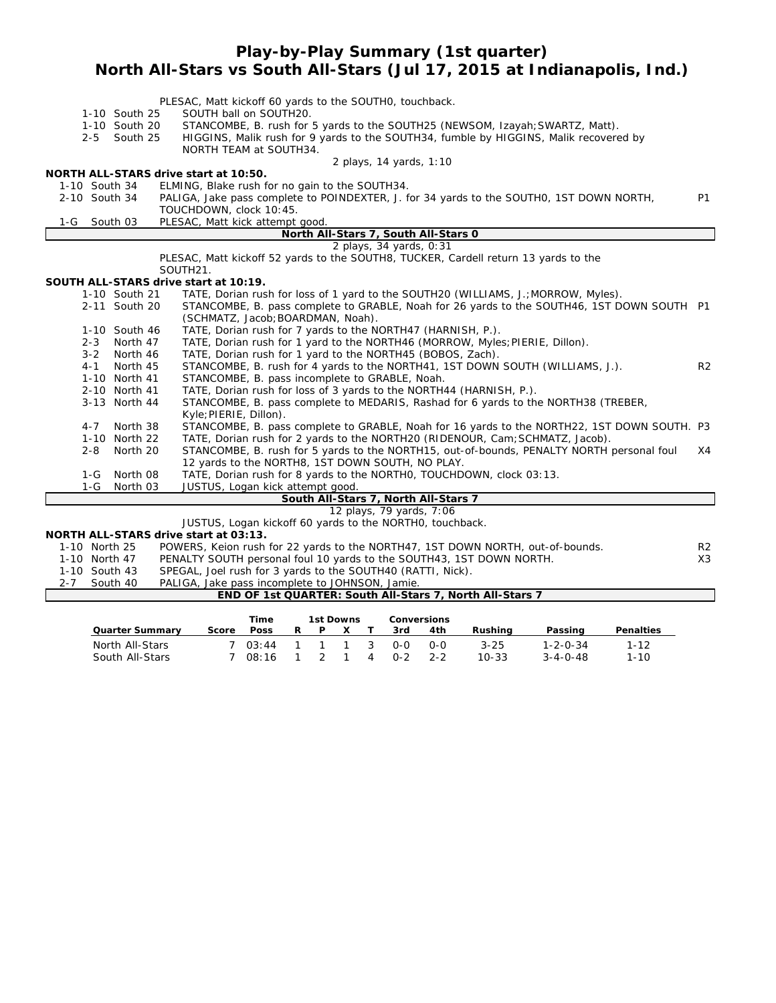# **Play-by-Play Summary (1st quarter) North All-Stars vs South All-Stars (Jul 17, 2015 at Indianapolis, Ind.)**

|                    | 1-10 South 25        | PLESAC, Matt kickoff 60 yards to the SOUTHO, touchback.<br>SOUTH ball on SOUTH20.                            |                |
|--------------------|----------------------|--------------------------------------------------------------------------------------------------------------|----------------|
|                    | 1-10 South 20        | STANCOMBE, B. rush for 5 yards to the SOUTH25 (NEWSOM, Izayah; SWARTZ, Matt).                                |                |
|                    | 2-5 South 25         | HIGGINS, Malik rush for 9 yards to the SOUTH34, fumble by HIGGINS, Malik recovered by                        |                |
|                    |                      | NORTH TEAM at SOUTH34.                                                                                       |                |
|                    |                      | 2 plays, 14 yards, 1:10                                                                                      |                |
|                    |                      | NORTH ALL-STARS drive start at 10:50.                                                                        |                |
| 1-10 South 34      |                      | ELMING, Blake rush for no gain to the SOUTH34.                                                               |                |
| 2-10 South 34      |                      | PALIGA, Jake pass complete to POINDEXTER, J. for 34 yards to the SOUTHO, 1ST DOWN NORTH,                     | <b>P1</b>      |
|                    |                      | TOUCHDOWN, clock 10:45.                                                                                      |                |
| 1-G                | South 03             | PLESAC, Matt kick attempt good.                                                                              |                |
|                    |                      | North All-Stars 7, South All-Stars 0                                                                         |                |
|                    |                      | 2 plays, 34 yards, 0:31                                                                                      |                |
|                    |                      | PLESAC, Matt kickoff 52 yards to the SOUTH8, TUCKER, Cardell return 13 yards to the                          |                |
|                    |                      | SOUTH21.                                                                                                     |                |
|                    |                      | SOUTH ALL-STARS drive start at 10:19.                                                                        |                |
|                    | 1-10 South 21        | TATE, Dorian rush for loss of 1 yard to the SOUTH20 (WILLIAMS, J.; MORROW, Myles).                           |                |
|                    | 2-11 South 20        | STANCOMBE, B. pass complete to GRABLE, Noah for 26 yards to the SOUTH46, 1ST DOWN SOUTH P1                   |                |
|                    |                      | (SCHMATZ, Jacob; BOARDMAN, Noah).                                                                            |                |
|                    | 1-10 South 46        | TATE, Dorian rush for 7 yards to the NORTH47 (HARNISH, P.).                                                  |                |
| $2 - 3$<br>$3 - 2$ | North 47<br>North 46 | TATE, Dorian rush for 1 yard to the NORTH46 (MORROW, Myles; PIERIE, Dillon).                                 |                |
| $4 - 1$            | North 45             | TATE, Dorian rush for 1 yard to the NORTH45 (BOBOS, Zach).                                                   | R <sub>2</sub> |
|                    | 1-10 North 41        | STANCOMBE, B. rush for 4 yards to the NORTH41, 1ST DOWN SOUTH (WILLIAMS, J.).                                |                |
|                    |                      | STANCOMBE, B. pass incomplete to GRABLE, Noah.                                                               |                |
|                    | 2-10 North 41        | TATE, Dorian rush for loss of 3 yards to the NORTH44 (HARNISH, P.).                                          |                |
|                    | 3-13 North 44        | STANCOMBE, B. pass complete to MEDARIS, Rashad for 6 yards to the NORTH38 (TREBER,<br>Kyle; PIERIE, Dillon). |                |
| $4 - 7$            | North 38             | STANCOMBE, B. pass complete to GRABLE, Noah for 16 yards to the NORTH22, 1ST DOWN SOUTH. P3                  |                |
|                    | 1-10 North 22        | TATE, Dorian rush for 2 yards to the NORTH20 (RIDENOUR, Cam; SCHMATZ, Jacob).                                |                |
| $2 - 8$            | North 20             | STANCOMBE, B. rush for 5 yards to the NORTH15, out-of-bounds, PENALTY NORTH personal foul                    | X4             |
|                    |                      | 12 yards to the NORTH8, 1ST DOWN SOUTH, NO PLAY.                                                             |                |
| $1 - G$            | North 08             | TATE, Dorian rush for 8 yards to the NORTHO, TOUCHDOWN, clock 03:13.                                         |                |
| $1-G$              | North 03             | JUSTUS, Logan kick attempt good.                                                                             |                |
|                    |                      | South All-Stars 7, North All-Stars 7                                                                         |                |
|                    |                      | 12 plays, 79 yards, 7:06                                                                                     |                |
|                    |                      | JUSTUS, Logan kickoff 60 yards to the NORTHO, touchback.                                                     |                |
|                    |                      | NORTH ALL-STARS drive start at 03:13.                                                                        |                |
| 1-10 North 25      |                      | POWERS, Keion rush for 22 yards to the NORTH47, 1ST DOWN NORTH, out-of-bounds.                               | R <sub>2</sub> |
| 1-10 North 47      |                      | PENALTY SOUTH personal foul 10 yards to the SOUTH43, 1ST DOWN NORTH.                                         | X3             |
| $1.10 \t C15.10$   |                      | $CDCOM$ leal much fan 2 werde to the COUTHIA (DATTL NGL)                                                     |                |

1-10 South 43 SPEGAL, Joel rush for 3 yards to the SOUTH40 (RATTI, Nick).

| 2-7 South 40 | PALIGA, Jake pass incomplete to JOHNSON, Jamie.<br><b>END OF 1st QUARTER: South All-Stars 7, North All-Stars 7</b> |
|--------------|--------------------------------------------------------------------------------------------------------------------|
|              |                                                                                                                    |

|                        |       | Time            |   |                | 1st Downs |       | <b>Conversions</b> |           |                  |                  |
|------------------------|-------|-----------------|---|----------------|-----------|-------|--------------------|-----------|------------------|------------------|
| <b>Quarter Summary</b> | Score | <b>Poss</b>     | R | P              |           | 3rd   | 4th                | Rushina   | Passing          | <b>Penalties</b> |
| North All-Stars        |       | 7 03:44 1 1 1 3 |   |                |           | റ-റ   | റ-റ                | $3 - 25$  | $1 - 2 - 0 - 34$ | $1 - 12$         |
| South All-Stars        |       | 08:16           |   | $\overline{2}$ |           | 4 0-2 | $2 - 2$            | $10 - 33$ | $3 - 4 - 0 - 48$ | $1 - 10$         |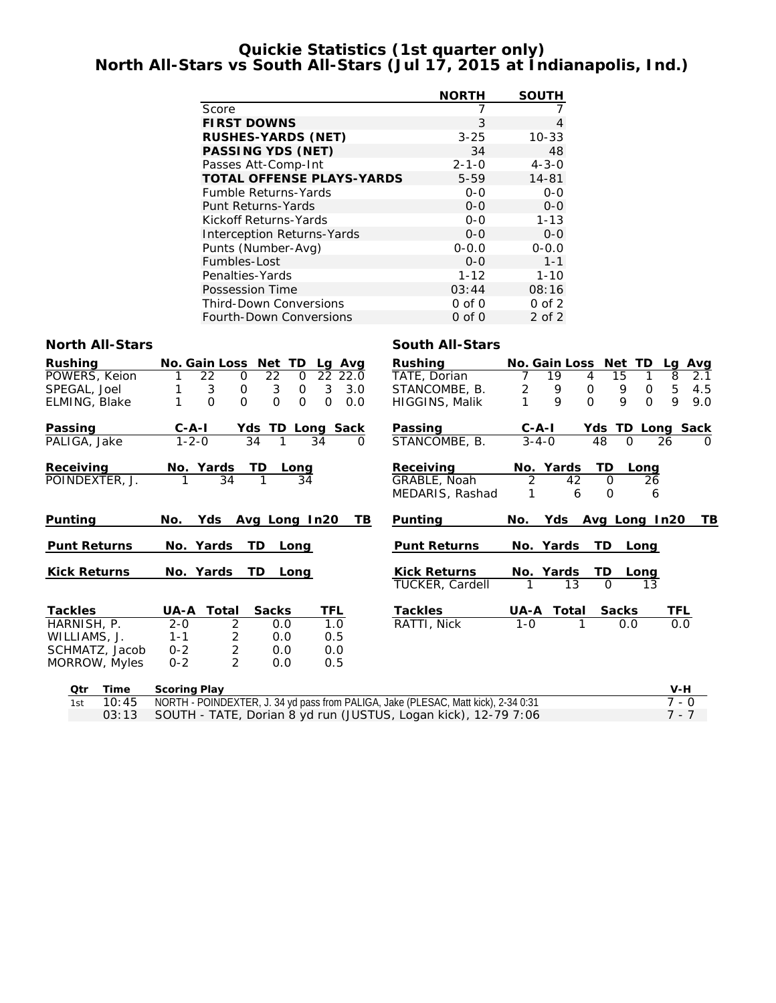# **Quickie Statistics (1st quarter only) North All-Stars vs South All-Stars (Jul 17, 2015 at Indianapolis, Ind.)**

|                                   | <b>NORTH</b> | <b>SOUTH</b> |
|-----------------------------------|--------------|--------------|
| Score                             | 7            |              |
| <b>FIRST DOWNS</b>                | 3            | 4            |
| <b>RUSHES-YARDS (NET)</b>         | $3 - 25$     | $10 - 33$    |
| <b>PASSING YDS (NET)</b>          | 34           | 48           |
| Passes Att-Comp-Int               | $2 - 1 - 0$  | $4 - 3 - 0$  |
| <b>TOTAL OFFENSE PLAYS-YARDS</b>  | $5 - 59$     | 14-81        |
| <b>Fumble Returns-Yards</b>       | $0 - 0$      | $0 - 0$      |
| Punt Returns-Yards                | $0 - 0$      | $0 - 0$      |
| Kickoff Returns-Yards             | 0-0          | $1 - 13$     |
| <b>Interception Returns-Yards</b> | $0 - 0$      | $0 - 0$      |
| Punts (Number-Avg)                | $0 - 0.0$    | $0 - 0.0$    |
| Fumbles-Lost                      | $0 - 0$      | $1 - 1$      |
| Penalties-Yards                   | 1-12         | $1 - 10$     |
| Possession Time                   | 03:44        | 08:16        |
| <b>Third-Down Conversions</b>     | $0$ of $0$   | $0$ of $2$   |
| <b>Fourth-Down Conversions</b>    | 0 of 0       | 2 of 2       |

### **North All-Stars South All-Stars**

| <b>Rushing</b>      | No. Gain Loss Net TD<br>Avg<br>La                               | Rushina                                       | No. Gain Loss Net TD<br>Avg<br>Lg               |
|---------------------|-----------------------------------------------------------------|-----------------------------------------------|-------------------------------------------------|
| POWERS, Keion       | 22<br>22 22.0<br>22<br>0<br>0                                   | TATE, Dorian                                  | 15<br>19<br>8<br>2.1<br>4                       |
| SPEGAL, Joel        | 3<br>0<br>3<br>$\mathbf 0$<br>3<br>3.0                          | STANCOMBE, B.                                 | 9<br>2<br>4.5<br>9<br>0<br>5<br>$\Omega$        |
| ELMING, Blake       | $\Omega$<br>$\Omega$<br>$\Omega$<br>$\Omega$<br>$\Omega$<br>0.0 | <b>HIGGINS, Malik</b>                         | $\Omega$<br>9<br>9<br>$\Omega$<br>9<br>9.0      |
| Passing             | <b>TD Long Sack</b><br>$C - A - I$<br>Yds:                      | Passing                                       | Ydsl<br>TD Long<br>Sack<br>$C - A - I$          |
| PALIGA, Jake        | $1 - 2 - 0$<br>34<br>34<br>0                                    | STANCOMBE, B.                                 | 48<br>26<br>$3 - 4 - 0$<br>$\Omega$<br>0        |
| Receiving           | No. Yards<br>TD<br>Long                                         | Receiving                                     | Yards<br>TD<br>No.<br>Long                      |
| POINDEXTER, J.      | 34<br>34                                                        | GRABLE, Noah                                  | 2<br>26<br>42<br>$\Omega$                       |
|                     |                                                                 | MEDARIS, Rashad                               | 0<br>6<br>6                                     |
| Punting             | Yds:<br>Avg Long In20<br>TB.<br>No.                             | <b>Punting</b>                                | Yds<br>Avg Long In20<br>TB.<br>No.              |
| <b>Punt Returns</b> | No. Yards<br>TD.<br>Long                                        | <b>Punt Returns</b>                           | No. Yards<br>TD.<br>Long                        |
| <b>Kick Returns</b> | No. Yards<br>TD<br>Long                                         | <b>Kick Returns</b><br><b>TUCKER, Cardell</b> | No. Yards<br>TD<br>Long<br>$\Omega$<br>13<br>13 |
| <b>Tackles</b>      | TFI<br>$IIA - A$ Total<br>Sacks                                 | Tackles                                       | TFI<br>Total<br>LIΔ-A<br>Sacks                  |

| TAUNICS        | 0A-A    | ι υται        | Jacha | .   |
|----------------|---------|---------------|-------|-----|
| HARNISH, P.    | $2 - 0$ |               | O.O   | 1.O |
| WILLIAMS, J.   | $1 - 1$ | -2.           | O.O   | 0.5 |
| SCHMATZ, Jacob | $0 - 2$ | $\mathcal{L}$ | O.O   | 0.0 |
| MORROW, Myles  | $0 - 2$ | $\mathcal{L}$ | O.O   | 0.5 |
|                |         |               |       |     |

| Punting                                       | No.          | Yds Avg Long In20       |              |      |     |
|-----------------------------------------------|--------------|-------------------------|--------------|------|-----|
| <b>Punt Returns</b>                           |              | No. Yards TD            |              | Long |     |
| <b>Kick Returns</b><br><b>TUCKER, Cardell</b> | $\mathbf{1}$ | No. Yards TD Long<br>13 | ∩            | 13   |     |
| <b>Tackles</b>                                |              | UA-A Total              | <b>Sacks</b> |      | TFL |
| RATTI, Nick                                   | 1- $\Omega$  | 1                       |              | റ റ  | റ റ |

| Time  | <b>Scoring Play</b>                                                                | $V-H$   |
|-------|------------------------------------------------------------------------------------|---------|
| 10:45 | NORTH - POINDEXTER, J. 34 yd pass from PALIGA, Jake (PLESAC, Matt kick), 2-34 0:31 | 7 - 0   |
|       | 03:13 SOUTH - TATE, Dorian 8 yd run (JUSTUS, Logan kick), 12-79 7:06               | $7 - 7$ |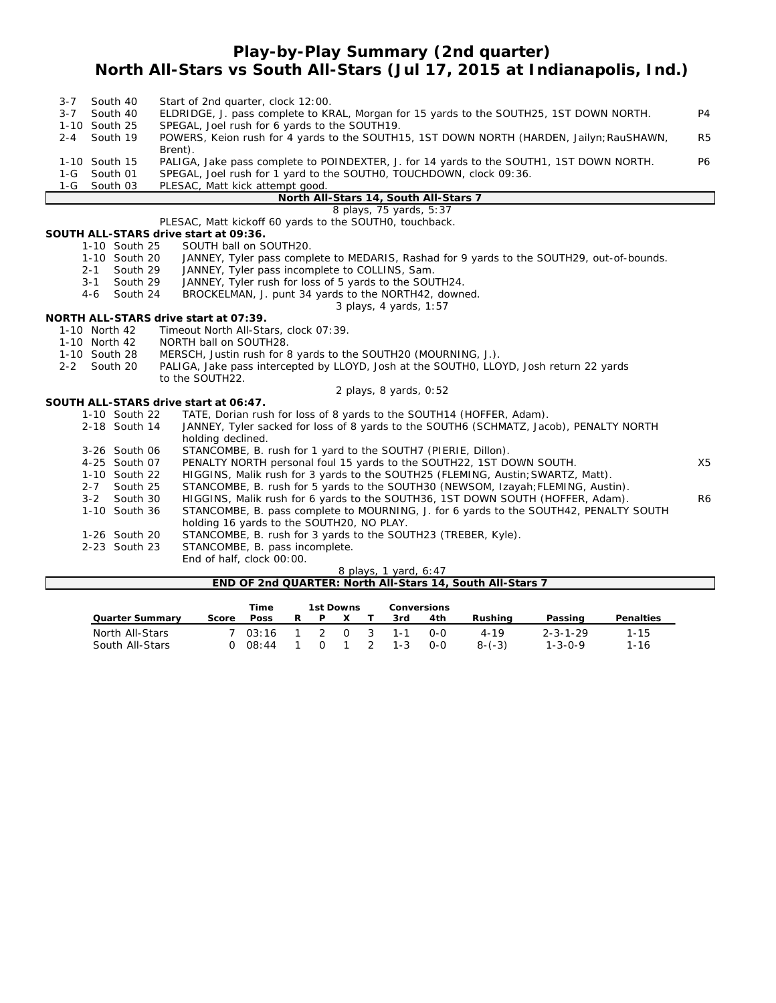# **Play-by-Play Summary (2nd quarter) North All-Stars vs South All-Stars (Jul 17, 2015 at Indianapolis, Ind.)**

| $3 - 7$ | South 40      |                                | Start of 2nd quarter, clock 12:00.                                                        |                |
|---------|---------------|--------------------------------|-------------------------------------------------------------------------------------------|----------------|
| $3 - 7$ | South 40      |                                | ELDRIDGE, J. pass complete to KRAL, Morgan for 15 yards to the SOUTH25, 1ST DOWN NORTH.   | P4             |
|         | 1-10 South 25 |                                | SPEGAL, Joel rush for 6 yards to the SOUTH19.                                             |                |
| $2 - 4$ | South 19      |                                | POWERS, Keion rush for 4 yards to the SOUTH15, 1ST DOWN NORTH (HARDEN, Jailyn; RauSHAWN,  | R <sub>5</sub> |
|         |               |                                | Brent).                                                                                   |                |
|         | 1-10 South 15 |                                | PALIGA, Jake pass complete to POINDEXTER, J. for 14 yards to the SOUTH1, 1ST DOWN NORTH.  | <b>P6</b>      |
| $1-G$   | South 01      |                                | SPEGAL, Joel rush for 1 yard to the SOUTHO, TOUCHDOWN, clock 09:36.                       |                |
| $1-G$   | South 03      |                                | PLESAC, Matt kick attempt good.                                                           |                |
|         |               |                                | North All-Stars 14, South All-Stars 7                                                     |                |
|         |               |                                | 8 plays, 75 yards, 5:37                                                                   |                |
|         |               |                                | PLESAC, Matt kickoff 60 yards to the SOUTHO, touchback.                                   |                |
|         |               |                                | SOUTH ALL-STARS drive start at 09:36.                                                     |                |
|         |               | 1-10 South 25                  | SOUTH ball on SOUTH20.                                                                    |                |
|         |               | 1-10 South 20                  | JANNEY, Tyler pass complete to MEDARIS, Rashad for 9 yards to the SOUTH29, out-of-bounds. |                |
|         | $2 - 1$       | South 29                       | JANNEY, Tyler pass incomplete to COLLINS, Sam.                                            |                |
|         | $3 - 1$       | South 29                       | JANNEY, Tyler rush for loss of 5 yards to the SOUTH24.                                    |                |
|         | 4-6           | South 24                       | BROCKELMAN, J. punt 34 yards to the NORTH42, downed.                                      |                |
|         |               |                                | 3 plays, 4 yards, 1:57                                                                    |                |
|         |               |                                | NORTH ALL-STARS drive start at 07:39.                                                     |                |
|         | 1-10 North 42 |                                | Timeout North All-Stars, clock 07:39.                                                     |                |
|         | 1-10 North 42 |                                | NORTH ball on SOUTH28.                                                                    |                |
|         | 1-10 South 28 |                                | MERSCH, Justin rush for 8 yards to the SOUTH20 (MOURNING, J.).                            |                |
| $2 - 2$ | South 20      |                                | PALIGA, Jake pass intercepted by LLOYD, Josh at the SOUTHO, LLOYD, Josh return 22 yards   |                |
|         |               |                                | to the SOUTH22.                                                                           |                |
|         |               |                                | 2 plays, 8 yards, 0:52                                                                    |                |
|         |               |                                | SOUTH ALL-STARS drive start at 06:47.                                                     |                |
|         |               | 1-10 South 22                  | TATE, Dorian rush for loss of 8 yards to the SOUTH14 (HOFFER, Adam).                      |                |
|         |               | 2-18 South 14                  | JANNEY, Tyler sacked for loss of 8 yards to the SOUTH6 (SCHMATZ, Jacob), PENALTY NORTH    |                |
|         |               |                                | holding declined.                                                                         |                |
|         |               | 3-26 South 06                  | STANCOMBE, B. rush for 1 yard to the SOUTH7 (PIERIE, Dillon).                             | X <sub>5</sub> |
|         |               | 4-25 South 07                  | PENALTY NORTH personal foul 15 yards to the SOUTH22, 1ST DOWN SOUTH.                      |                |
|         | $2 - 7$       | 1-10 South 22<br>South 25      | HIGGINS, Malik rush for 3 yards to the SOUTH25 (FLEMING, Austin; SWARTZ, Matt).           |                |
|         |               |                                | STANCOMBE, B. rush for 5 yards to the SOUTH30 (NEWSOM, Izayah; FLEMING, Austin).          |                |
|         | $3 - 2$       | South 30                       | HIGGINS, Malik rush for 6 yards to the SOUTH36, 1ST DOWN SOUTH (HOFFER, Adam).            | R <sub>6</sub> |
|         |               | 1-10 South 36                  | STANCOMBE, B. pass complete to MOURNING, J. for 6 yards to the SOUTH42, PENALTY SOUTH     |                |
|         |               |                                | holding 16 yards to the SOUTH20, NO PLAY.                                                 |                |
|         |               | 1-26 South 20<br>2-23 South 23 | STANCOMBE, B. rush for 3 yards to the SOUTH23 (TREBER, Kyle).                             |                |
|         |               |                                | STANCOMBE, B. pass incomplete.                                                            |                |
|         |               |                                | End of half, clock 00:00.                                                                 |                |

| 8 plays, 1 yard, 6:47                                     |  |
|-----------------------------------------------------------|--|
| END OF 2nd QUARTER: North All-Stars 14, South All-Stars 7 |  |

|                        |          | Time                |    | 1st Downs      |  |         | <b>Conversions</b> |          |                  |                  |
|------------------------|----------|---------------------|----|----------------|--|---------|--------------------|----------|------------------|------------------|
| <b>Quarter Summary</b> | Score    | <b>Poss</b>         | R. | P.             |  | 3rd     | 4th                | Rushina  | Passing          | <b>Penalties</b> |
| North All-Stars        |          | 7 03:16 1 2 0 3 1-1 |    |                |  |         | റ-റ                | $4 - 19$ | $2 - 3 - 1 - 29$ | $1 - 15$         |
| South All-Stars        | $\Omega$ | 08:44               |    | $\overline{0}$ |  | 1 2 1-3 | $O-O$              | $8-(-3)$ | $1 - 3 - 0 - 9$  | 1-16             |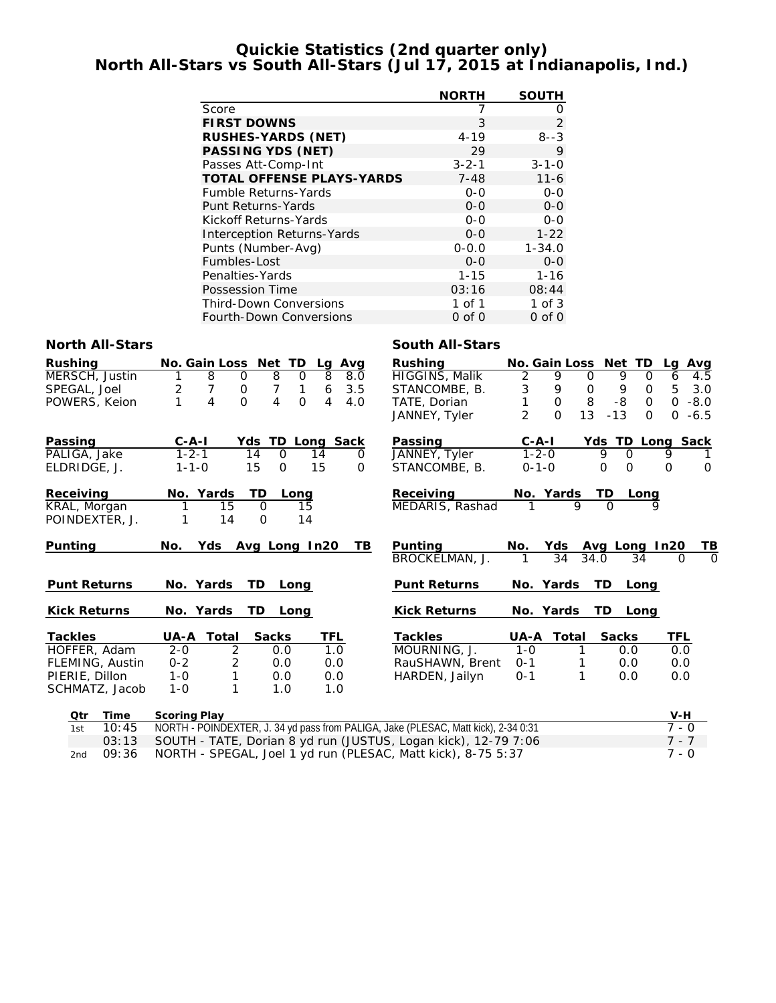# **Quickie Statistics (2nd quarter only) North All-Stars vs South All-Stars (Jul 17, 2015 at Indianapolis, Ind.)**

|                                   | <b>NORTH</b> | <b>SOUTH</b> |
|-----------------------------------|--------------|--------------|
| Score                             | 7            | O)           |
| <b>FIRST DOWNS</b>                | 3            | 2            |
| <b>RUSHES-YARDS (NET)</b>         | 4-19         | $8 - 3$      |
| <b>PASSING YDS (NET)</b>          | 29           | 9            |
| Passes Att-Comp-Int               | $3 - 2 - 1$  | $3 - 1 - 0$  |
| <b>TOTAL OFFENSE PLAYS-YARDS</b>  | $7 - 48$     | $11 - 6$     |
| <b>Fumble Returns-Yards</b>       | $0 - 0$      | $0 - 0$      |
| Punt Returns-Yards                | $0 - 0$      | $O-O$        |
| Kickoff Returns-Yards             | $0 - 0$      | $0 - 0$      |
| <b>Interception Returns-Yards</b> | $0 - 0$      | $1 - 22$     |
| Punts (Number-Avg)                | $0 - 0.0$    | $1 - 34.0$   |
| Fumbles-Lost                      | $0 - 0$      | $O-O$        |
| Penalties-Yards                   | $1 - 15$     | $1 - 16$     |
| Possession Time                   | 03:16        | 08:44        |
| <b>Third-Down Conversions</b>     | 1 of 1       | $1$ of $3$   |
| <b>Fourth-Down Conversions</b>    | $0$ of $0$   | $0$ of $0$   |

### **North All-Stars South All-Stars** South All-Stars

| <b>Rushing</b>      | No. Gain Loss Net TD<br>Lg Avg                                                     | <b>Rushing</b>        |                |              | No. Gain Loss Net TD | Lg Avg                         |
|---------------------|------------------------------------------------------------------------------------|-----------------------|----------------|--------------|----------------------|--------------------------------|
| MERSCH, Justin      | 8<br>8<br>8<br>$\Omega$<br>$\Omega$<br>8.0                                         | <b>HIGGINS, Malik</b> | 2              | 9            | 9<br>$\Omega$        | $\Omega$<br>6<br>4.5           |
| SPEGAL, Joel        | 7<br>7<br>6<br>3.5<br>$\mathbf 0$<br>2<br>1                                        | STANCOMBE, B.         | 3              | 9            | 0<br>9               | 5<br>3.0<br>0                  |
| POWERS, Keion       | 1<br>4<br>$\Omega$<br>4<br>$\Omega$<br>4<br>4.0                                    | TATE, Dorian          | 1              | $\mathbf{O}$ | 8<br>-8              | $\Omega$<br>$\Omega$<br>$-8.0$ |
|                     |                                                                                    | JANNEY, Tyler         | $\overline{2}$ | $\Omega$     | 13<br>$-13$          | $\Omega$<br>$-6.5$<br>$\Omega$ |
| Passing             | TD Long Sack<br>$C-A-I$<br>Yds                                                     | Passing               | $C-A-I$        |              |                      | Yds TD Long Sack               |
| PALIGA, Jake        | $1 - 2 - 1$<br>$\mathsf{O}$<br>14<br>14<br>0                                       | JANNEY, Tyler         |                | $1 - 2 - 0$  | 9<br>$\Omega$        | 9                              |
| ELDRIDGE, J.        | 15<br>15<br>$\Omega$<br>$1 - 1 - 0$<br>$\Omega$                                    | STANCOMBE, B.         |                | $0 - 1 - 0$  | $\Omega$<br>$\Omega$ | $\Omega$<br>$\Omega$           |
| Receiving           | No. Yards<br>TD<br>Long                                                            | Receiving             |                | No. Yards    | TD                   | Long                           |
| KRAL, Morgan        | $\Omega$<br>1<br>15<br>15                                                          | MEDARIS, Rashad       | 1              | 9            | $\Omega$             |                                |
| POINDEXTER, J.      | 1<br>14<br>$\Omega$<br>14                                                          |                       |                |              |                      |                                |
| Punting             | TВ<br>No.<br>Yds<br>Avg Long In20                                                  | Punting               | No.            | Yds          | Avg Long In20        | TВ                             |
|                     |                                                                                    | BROCKELMAN, J.        | 1              | 34           | 34.0                 | $\Omega$<br>34<br>$\Omega$     |
| <b>Punt Returns</b> | No. Yards<br>TD.<br>Long                                                           | <b>Punt Returns</b>   |                | No. Yards    | TD.                  | Long                           |
| <b>Kick Returns</b> | No. Yards<br>TD Long                                                               | <b>Kick Returns</b>   |                | No. Yards    | TD Long              |                                |
| <b>Tackles</b>      | <b>Sacks</b><br>UA-A Total<br><b>TFL</b>                                           | <b>Tackles</b>        | UA-A           | Total        | <b>Sacks</b>         | TFL                            |
| HOFFER, Adam        | $\overline{2}$<br>1.0<br>$2 - 0$<br>0.0                                            | MOURNING, J.          | $1 - 0$        |              | 0.0                  | 0.0                            |
| FLEMING, Austin     | $\overline{2}$<br>$0 - 2$<br>0.0<br>0.0                                            | RauSHAWN, Brent       | $0 - 1$        |              | 0.0                  | 0.0                            |
| PIERIE, Dillon      | 1<br>0.0<br>$1 - 0$<br>0.0                                                         | HARDEN, Jailyn        | $0 - 1$        | 1            | 0.0                  | 0.0                            |
| SCHMATZ, Jacob      | 1<br>$1 - 0$<br>1.0<br>1.0                                                         |                       |                |              |                      |                                |
| Time<br>Qtr         | <b>Scoring Play</b>                                                                |                       |                |              |                      | $V-H$                          |
| 10:45<br>1st        | NORTH - POINDEXTER, J. 34 yd pass from PALIGA, Jake (PLESAC, Matt kick), 2-34 0:31 |                       |                |              |                      | $7 - 0$                        |
| 03:13               | SOUTH - TATE, Dorian 8 yd run (JUSTUS, Logan kick), 12-79 7:06                     |                       |                |              |                      | $7 - 7$                        |

2nd 09:36 NORTH - SPEGAL, Joel 1 yd run (PLESAC, Matt kick), 8-75 5:37 7 - 0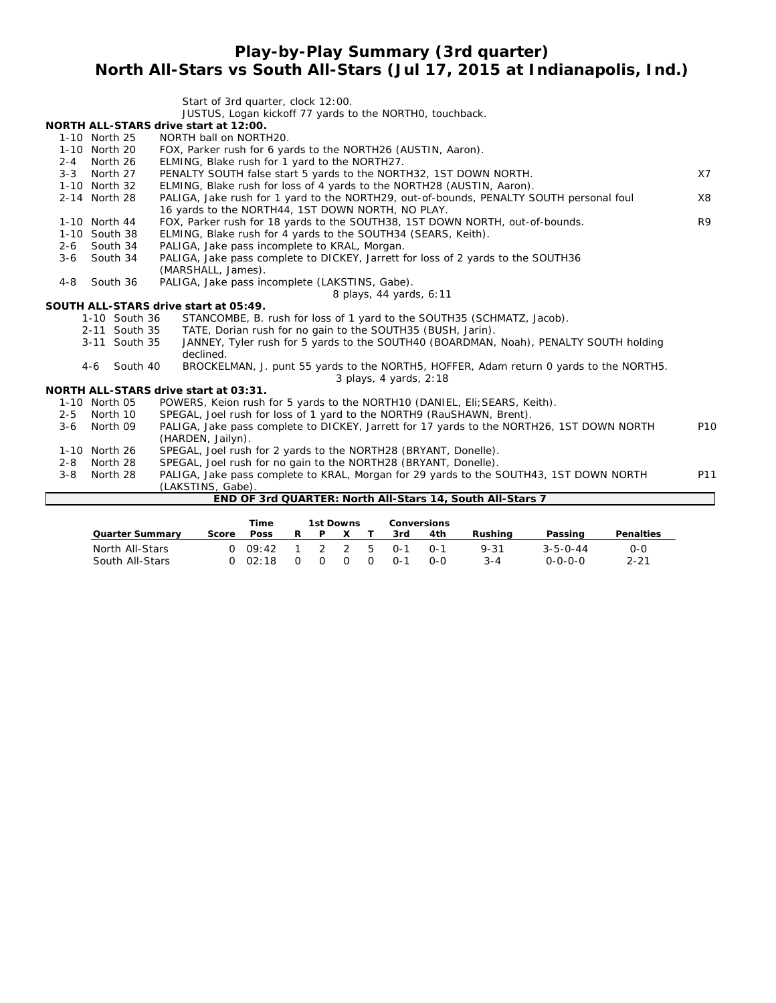# **Play-by-Play Summary (3rd quarter) North All-Stars vs South All-Stars (Jul 17, 2015 at Indianapolis, Ind.)**

|                     | Start of 3rd quarter, clock 12:00.                                                                               |                 |
|---------------------|------------------------------------------------------------------------------------------------------------------|-----------------|
|                     | JUSTUS, Logan kickoff 77 yards to the NORTHO, touchback.                                                         |                 |
|                     | NORTH ALL-STARS drive start at 12:00.                                                                            |                 |
| 1-10 North 25       | NORTH ball on NORTH20.                                                                                           |                 |
| 1-10 North 20       | FOX, Parker rush for 6 yards to the NORTH26 (AUSTIN, Aaron).                                                     |                 |
| $2 - 4$<br>North 26 | ELMING, Blake rush for 1 yard to the NORTH27.                                                                    |                 |
| $3 - 3$<br>North 27 | PENALTY SOUTH false start 5 yards to the NORTH32, 1ST DOWN NORTH.                                                | X7              |
| 1-10 North 32       | ELMING, Blake rush for loss of 4 yards to the NORTH28 (AUSTIN, Aaron).                                           |                 |
| 2-14 North 28       | PALIGA, Jake rush for 1 yard to the NORTH29, out-of-bounds, PENALTY SOUTH personal foul                          | X8              |
|                     | 16 yards to the NORTH44, 1ST DOWN NORTH, NO PLAY.                                                                |                 |
| 1-10 North 44       | FOX, Parker rush for 18 yards to the SOUTH38, 1ST DOWN NORTH, out-of-bounds.                                     | R <sub>9</sub>  |
| 1-10 South 38       | ELMING, Blake rush for 4 yards to the SOUTH34 (SEARS, Keith).                                                    |                 |
| South 34<br>$2 - 6$ | PALIGA, Jake pass incomplete to KRAL, Morgan.                                                                    |                 |
| South 34<br>$3 - 6$ | PALIGA, Jake pass complete to DICKEY, Jarrett for loss of 2 yards to the SOUTH36                                 |                 |
|                     | (MARSHALL, James).                                                                                               |                 |
| South 36<br>$4 - 8$ | PALIGA, Jake pass incomplete (LAKSTINS, Gabe).                                                                   |                 |
|                     | 8 plays, 44 yards, 6:11                                                                                          |                 |
|                     | SOUTH ALL-STARS drive start at 05:49.                                                                            |                 |
| 1-10 South 36       | STANCOMBE, B. rush for loss of 1 yard to the SOUTH35 (SCHMATZ, Jacob).                                           |                 |
| 2-11 South 35       | TATE, Dorian rush for no gain to the SOUTH35 (BUSH, Jarin).                                                      |                 |
| 3-11 South 35       | JANNEY, Tyler rush for 5 yards to the SOUTH40 (BOARDMAN, Noah), PENALTY SOUTH holding<br>declined.               |                 |
| South 40<br>4-6     | BROCKELMAN, J. punt 55 yards to the NORTH5, HOFFER, Adam return 0 yards to the NORTH5.<br>3 plays, 4 yards, 2:18 |                 |
|                     | <b>NORTH ALL-STARS drive start at 03:31.</b>                                                                     |                 |
| 1-10 North 05       | POWERS, Keion rush for 5 yards to the NORTH10 (DANIEL, Eli; SEARS, Keith).                                       |                 |
| $2 - 5$<br>North 10 | SPEGAL, Joel rush for loss of 1 yard to the NORTH9 (RauSHAWN, Brent).                                            |                 |
| North 09<br>$3 - 6$ | PALIGA, Jake pass complete to DICKEY, Jarrett for 17 yards to the NORTH26, 1ST DOWN NORTH                        | P <sub>10</sub> |
|                     | (HARDEN, Jailyn).                                                                                                |                 |
| 1-10 North 26       | SPEGAL, Joel rush for 2 yards to the NORTH28 (BRYANT, Donelle).                                                  |                 |
| $2 - 8$<br>North 28 | SPEGAL, Joel rush for no gain to the NORTH28 (BRYANT, Donelle).                                                  |                 |
| $3 - 8$<br>North 28 | PALIGA, Jake pass complete to KRAL, Morgan for 29 yards to the SOUTH43, 1ST DOWN NORTH                           | P11             |
|                     | (LAKSTINS, Gabe).                                                                                                |                 |
|                     | END OF 3rd QUARTER: North All-Stars 14, South All-Stars 7                                                        |                 |
|                     |                                                                                                                  |                 |
|                     | <b>Time</b><br><b>1st Downs</b><br><b>Conversions</b>                                                            |                 |

|                        |       | <b>i</b> ime    |  | TST DOWNS |     | Conversions |          |                  |                  |
|------------------------|-------|-----------------|--|-----------|-----|-------------|----------|------------------|------------------|
| <b>Quarter Summary</b> | Score | Poss            |  |           | 3rd | 4th         | Rushina  | Passing          | <b>Penalties</b> |
| North All-Stars        |       | 0.09.42         |  | - 25      | ∩-1 | ∩-ീ         | $9 - 31$ | $3 - 5 - 0 - 44$ | 0-0              |
| South All-Stars        |       | $0 \quad 02:18$ |  |           | 0-1 |             | 3-4      | 0-0-0-0          | $2 - 21$         |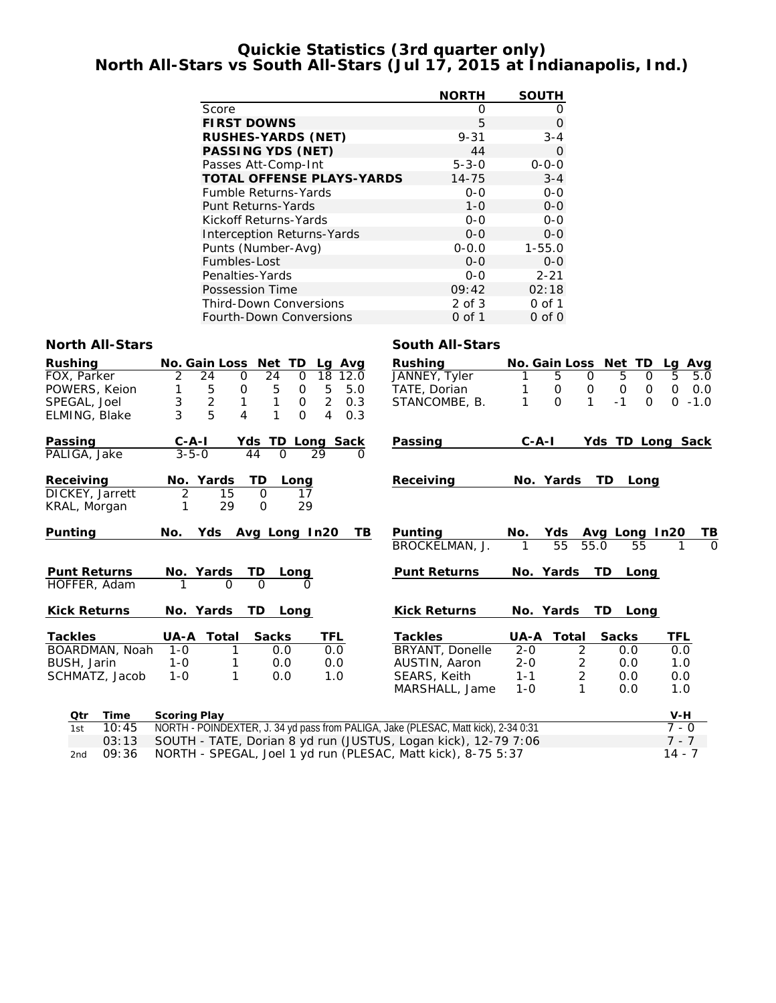# **Quickie Statistics (3rd quarter only) North All-Stars vs South All-Stars (Jul 17, 2015 at Indianapolis, Ind.)**

|                                   | <b>NORTH</b> | <b>SOUTH</b> |
|-----------------------------------|--------------|--------------|
| Score                             | Ω            | 0            |
| <b>FIRST DOWNS</b>                | 5            | Ω            |
| <b>RUSHES-YARDS (NET)</b>         | $9 - 31$     | $3 - 4$      |
| PASSING YDS (NET)                 | 44           | $\Omega$     |
| Passes Att-Comp-Int               | $5 - 3 - 0$  | $0 - 0 - 0$  |
| <b>TOTAL OFFENSE PLAYS-YARDS</b>  | $14 - 75$    | $3 - 4$      |
| <b>Fumble Returns-Yards</b>       | $0 - 0$      | $0 - 0$      |
| Punt Returns-Yards                | $1 - 0$      | $0 - 0$      |
| Kickoff Returns-Yards             | $0 - 0$      | $0 - 0$      |
| <b>Interception Returns-Yards</b> | $0 - 0$      | $0 - 0$      |
| Punts (Number-Avg)                | $0 - 0.0$    | $1 - 55.0$   |
| Fumbles-Lost                      | $0 - 0$      | $0 - 0$      |
| Penalties-Yards                   | $0 - 0$      | $2 - 21$     |
| Possession Time                   | 09:42        | 02:18        |
| <b>Third-Down Conversions</b>     | $2$ of $3$   | $0$ of 1     |
| <b>Fourth-Down Conversions</b>    | 0 of 1       | $0$ of $0$   |

### **North All-Stars South All-Stars**

| <b>Rushing</b>      | No. Gain Loss Net TD      | Lg Avg                                    | <b>Rushing</b>                                                                     |             |                | No. Gain Loss Net TD | Avg<br>Lg          |
|---------------------|---------------------------|-------------------------------------------|------------------------------------------------------------------------------------|-------------|----------------|----------------------|--------------------|
| FOX, Parker         | 24<br>2<br>0              | 24<br>18<br>$\Omega$<br>12.0              | JANNEY, Tyler                                                                      |             | 5<br>$\Omega$  | 5<br>$\Omega$        | 5<br>5.0           |
| POWERS, Keion       | 5<br>1<br>0               | 5<br>5<br>5.0<br>0                        | TATE, Dorian                                                                       |             | 0<br>0         | 0<br>$\mathbf 0$     | $\mathbf 0$<br>0.0 |
| SPEGAL, Joel        | $\overline{2}$<br>3<br>1  | 1<br>$\overline{2}$<br>$\mathbf 0$<br>0.3 | STANCOMBE, B.                                                                      |             | 1<br>$\Omega$  | $-1$<br>$\Omega$     | $\Omega$<br>$-1.0$ |
| ELMING, Blake       | 5<br>3<br>4               | 1<br>4<br>$\Omega$<br>0.3                 |                                                                                    |             |                |                      |                    |
| Passing             | $C - A - I$<br>Yds        | TD Long Sack                              | Passing                                                                            | $C - A - I$ |                | Yds TD Long Sack     |                    |
| PALIGA, Jake        | $3 - 5 - 0$<br>44         | $\Omega$<br>29<br>0                       |                                                                                    |             |                |                      |                    |
| Receiving           | No. Yards<br>TD           | Long                                      | Receiving                                                                          | No. Yards   |                | TD Long              |                    |
| DICKEY, Jarrett     | 2<br>$\Omega$<br>15       | 17                                        |                                                                                    |             |                |                      |                    |
| KRAL, Morgan        | 29<br>O                   | 29                                        |                                                                                    |             |                |                      |                    |
| Punting             | No.                       | <b>TB</b><br>Yds Avg Long In20            | <b>Punting</b>                                                                     | No.         | Yds            | Avg Long In20        | ΤВ                 |
|                     |                           |                                           | BROCKELMAN, J.                                                                     | 1           | 55<br>55.0     | 55                   | $\Omega$           |
| <b>Punt Returns</b> | No. Yards<br>TD.          | Long                                      | <b>Punt Returns</b>                                                                | No. Yards   |                | TD -<br>Long         |                    |
| HOFFER, Adam        | $\Omega$<br>1<br>$\Omega$ | O                                         |                                                                                    |             |                |                      |                    |
| <b>Kick Returns</b> | No. Yards                 | TD Long                                   | <b>Kick Returns</b>                                                                | No. Yards   |                | TD Long              |                    |
| <b>Tackles</b>      | <b>UA-A Total</b>         | <b>Sacks</b><br>TFL                       | <b>Tackles</b>                                                                     | UA-A        | Total          | <b>Sacks</b>         | TFL                |
| BOARDMAN, Noah      | $1 - 0$<br>1              | 0.0<br>0.0                                | <b>BRYANT, Donelle</b>                                                             | $2 - 0$     | 2              | 0.0                  | 0.0                |
| BUSH, Jarin         | $1 - 0$<br>1              | 0.0<br>0.0                                | AUSTIN, Aaron                                                                      | $2 - 0$     | 2              | 0.0                  | 1.0                |
| SCHMATZ, Jacob      | 1<br>$1 - 0$              | 1.0<br>0.0                                | SEARS, Keith                                                                       | $1 - 1$     | $\overline{2}$ | 0.0                  | 0.0                |
|                     |                           |                                           | MARSHALL, Jame                                                                     | $1 - 0$     | 1              | 0.0                  | 1.0                |
| Time<br>Qtr         | <b>Scoring Play</b>       |                                           |                                                                                    |             |                |                      | V-H                |
| 10:45<br>1st        |                           |                                           | NORTH - POINDEXTER, J. 34 yd pass from PALIGA, Jake (PLESAC, Matt kick), 2-34 0:31 |             |                |                      | $7 - 0$            |
| 03:13               |                           |                                           | SOUTH - TATE, Dorian 8 yd run (JUSTUS, Logan kick), 12-79 7:06                     |             |                |                      | $7 - 7$            |
| 09:36<br>2nd        |                           |                                           | NORTH - SPEGAL, Joel 1 yd run (PLESAC, Matt kick), 8-75 5:37                       |             |                |                      | $14 - 7$           |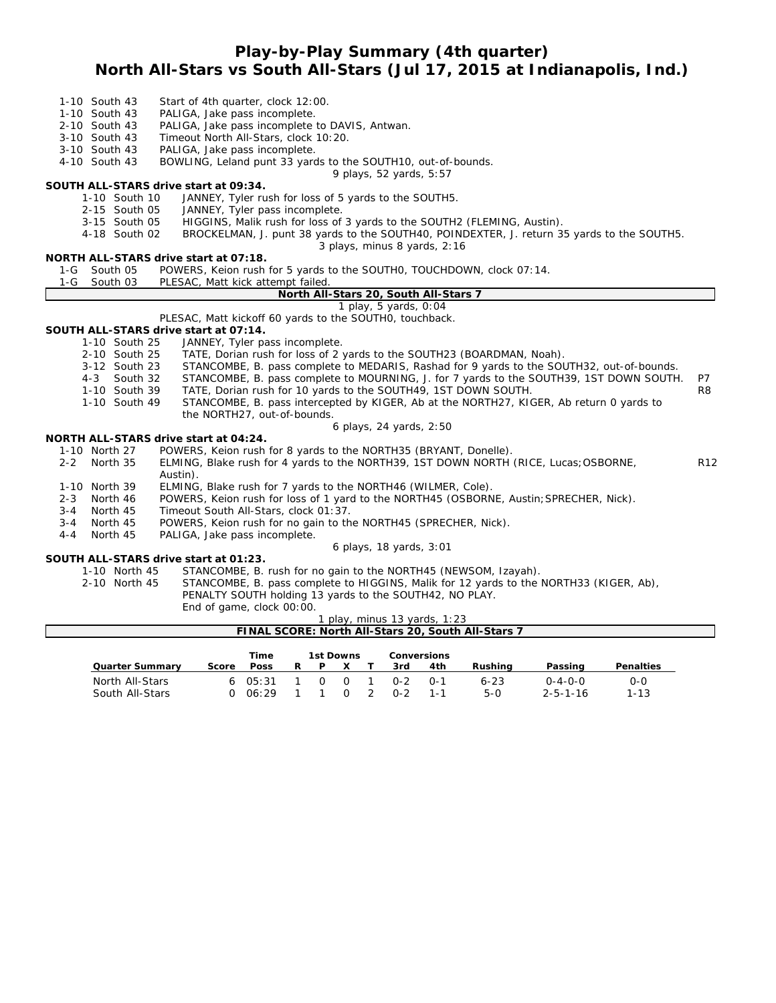# **Play-by-Play Summary (4th quarter) North All-Stars vs South All-Stars (Jul 17, 2015 at Indianapolis, Ind.)**

- 1-10 South 43 Start of 4th quarter, clock 12:00.
- 1-10 South 43 PALIGA, Jake pass incomplete.
- 2-10 South 43 PALIGA, Jake pass incomplete to DAVIS, Antwan.<br>3-10 South 43 Timeout North All-Stars, clock 10:20.
- Timeout North All-Stars, clock 10:20.
- 3-10 South 43 PALIGA, Jake pass incomplete.

4-10 South 43 BOWLING, Leland punt 33 yards to the SOUTH10, out-of-bounds.

*9 plays, 52 yards, 5:57*

#### **SOUTH ALL-STARS drive start at 09:34.**

- 1-10 South 10 JANNEY, Tyler rush for loss of 5 yards to the SOUTH5.
- 2-15 South 05 JANNEY, Tyler pass incomplete.
- 3-15 South 05 HIGGINS, Malik rush for loss of 3 yards to the SOUTH2 (FLEMING, Austin).
- 4-18 South 02 BROCKELMAN, J. punt 38 yards to the SOUTH40, POINDEXTER, J. return 35 yards to the SOUTH5.
- *3 plays, minus 8 yards, 2:16*

### **NORTH ALL-STARS drive start at 07:18.**

|  | 1-G South 05 |  | POWERS, Keion rush for 5 vards to the SOUTHO, TOUCHDOWN, clock 07:14. |  |  |  |  |
|--|--------------|--|-----------------------------------------------------------------------|--|--|--|--|
|--|--------------|--|-----------------------------------------------------------------------|--|--|--|--|

1-G South 03 PLESAC, Matt kick attempt failed

#### **North All-Stars 20, South All-Stars 7**

*1 play, 5 yards, 0:04*

PLESAC, Matt kickoff 60 yards to the SOUTH0, touchback.

### **SOUTH ALL-STARS drive start at 07:14.**

- 1-10 South 25 JANNEY, Tyler pass incomplete.
	- 2-10 South 25 TATE, Dorian rush for loss of 2 yards to the SOUTH23 (BOARDMAN, Noah).
	- 3-12 South 23 STANCOMBE, B. pass complete to MEDARIS, Rashad for 9 yards to the SOUTH32, out-of-bounds.
	- 4-3 South 32 STANCOMBE, B. pass complete to MOURNING, J. for 7 yards to the SOUTH39, 1ST DOWN SOUTH. P7
	- 1-10 South 39 TATE, Dorian rush for 10 yards to the SOUTH49, 1ST DOWN SOUTH. R8
	- 1-10 South 49 STANCOMBE, B. pass intercepted by KIGER, Ab at the NORTH27, KIGER, Ab return 0 yards to the NORTH27, out-of-bounds.

#### *6 plays, 24 yards, 2:50*

#### **NORTH ALL-STARS drive start at 04:24.**

- 1-10 North 27 POWERS, Keion rush for 8 yards to the NORTH35 (BRYANT, Donelle).<br>2-2 North 35 ELMING, Blake rush for 4 yards to the NORTH39. 1ST DOWN NORTH
- ELMING, Blake rush for 4 yards to the NORTH39, 1ST DOWN NORTH (RICE, Lucas;OSBORNE, R12 Austin).
- 1-10 North 39 ELMING, Blake rush for 7 yards to the NORTH46 (WILMER, Cole).
- 2-3 North 46 POWERS, Keion rush for loss of 1 yard to the NORTH45 (OSBORNE, Austin;SPRECHER, Nick).
- 3-4 North 45 Timeout South All-Stars, clock 01:37.
- 3-4 North 45 POWERS, Keion rush for no gain to the NORTH45 (SPRECHER, Nick).<br>4-4 North 45 PALIGA, Jake pass incomplete.
- 4-4 North 45 PALIGA, Jake pass incomplete.

### *6 plays, 18 yards, 3:01*

### **SOUTH ALL-STARS drive start at 01:23.**

- 1-10 North 45 STANCOMBE, B. rush for no gain to the NORTH45 (NEWSOM, Izayah).
- 2-10 North 45 STANCOMBE, B. pass complete to HIGGINS, Malik for 12 yards to the NORTH33 (KIGER, Ab), PENALTY SOUTH holding 13 yards to the SOUTH42, NO PLAY.

End of game, clock 00:00.

#### *1 play, minus 13 yards, 1:23* **FINAL SCORE: North All-Stars 20, South All-Stars 7**

|                        |       | Time        |   | 1st Downs |     |                |            | Conversions |          |                  |                  |
|------------------------|-------|-------------|---|-----------|-----|----------------|------------|-------------|----------|------------------|------------------|
| <b>Quarter Summary</b> | Score | <b>Poss</b> | R | P         |     |                | 3rd        | 4th         | Rushina  | Passing          | <b>Penalties</b> |
| North All-Stars        |       | 605:31      |   | O.        | - 0 |                | $O - 2$    | $O-1$       | $6 - 23$ | $0 - 4 - 0 - 0$  | $0 - 0$          |
| South All-Stars        |       | 0.06:29     |   |           | - 0 | $\overline{2}$ | <u>ດ-2</u> |             | $5-0$    | $2 - 5 - 1 - 16$ | $1 - 13$         |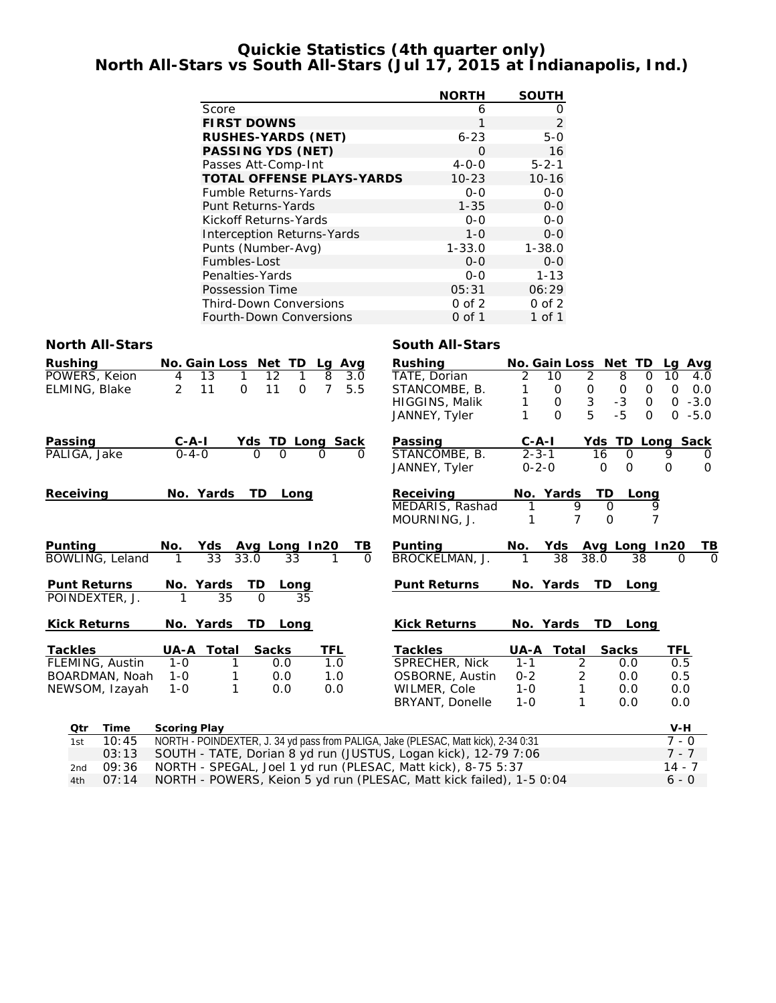# **Quickie Statistics (4th quarter only) North All-Stars vs South All-Stars (Jul 17, 2015 at Indianapolis, Ind.)**

|                                   | <b>NORTH</b> | <b>SOUTH</b> |
|-----------------------------------|--------------|--------------|
| Score                             | 6            | 0            |
| <b>FIRST DOWNS</b>                | 1            | 2            |
| <b>RUSHES-YARDS (NET)</b>         | $6 - 23$     | $5-0$        |
| <b>PASSING YDS (NET)</b>          | O            | 16           |
| Passes Att-Comp-Int               | $4 - 0 - 0$  | $5 - 2 - 1$  |
| <b>TOTAL OFFENSE PLAYS-YARDS</b>  | $10 - 23$    | $10 - 16$    |
| <b>Fumble Returns-Yards</b>       | $0 - 0$      | $0 - 0$      |
| Punt Returns-Yards                | $1 - 35$     | $0 - 0$      |
| Kickoff Returns-Yards             | $0 - 0$      | $0 - 0$      |
| <b>Interception Returns-Yards</b> | $1 - 0$      | $0 - 0$      |
| Punts (Number-Avg)                | $1 - 33.0$   | $1 - 38.0$   |
| Fumbles-Lost                      | $O - O$      | $0 - 0$      |
| Penalties-Yards                   | $0 - 0$      | $1 - 13$     |
| Possession Time                   | 05:31        | 06:29        |
| <b>Third-Down Conversions</b>     | $0$ of $2$   | $0$ of $2$   |
| <b>Fourth-Down Conversions</b>    | 0 of 1       | 1 of 1       |

### **North All-Stars South All-Stars**

| <b>Rushing</b><br>POWERS, Keion<br>ELMING, Blake | No. Gain Loss Net TD<br>13<br>4<br>2<br>11 | 12<br>1<br>$\mathbf{1}$<br>11<br>$\mathbf 0$<br>$\Omega$ | Lg Avg<br>8<br>3.0<br>7<br>5.5 | <b>Rushing</b><br>TATE, Dorian<br>STANCOMBE, B.<br><b>HIGGINS, Malik</b><br>JANNEY, Tyler | 2<br>1<br>1                | No. Gain Loss Net TD<br>10<br>2<br>$\mathbf 0$<br>0<br>3<br>$\mathsf{O}$<br>5<br>$\Omega$ | 8<br>$\mathbf 0$<br>$-3$<br>$-5$ | Lg Avg<br>10<br>$\Omega$<br>4.0<br>$\mathbf 0$<br>0.0<br>$\mathbf 0$<br>$0 -3.0$<br>$\mathbf 0$<br>$0 - 5.0$<br>$\Omega$ |          |
|--------------------------------------------------|--------------------------------------------|----------------------------------------------------------|--------------------------------|-------------------------------------------------------------------------------------------|----------------------------|-------------------------------------------------------------------------------------------|----------------------------------|--------------------------------------------------------------------------------------------------------------------------|----------|
| Passing                                          | $C - A - I$                                | Yds TD Long Sack                                         |                                | Passing                                                                                   | $C - A - I$                |                                                                                           |                                  | Yds TD Long Sack                                                                                                         |          |
| PALIGA, Jake                                     | $0 - 4 - 0$                                | $\Omega$<br>$\Omega$                                     | $\Omega$<br>∩                  | STANCOMBE, B.<br>JANNEY, Tyler                                                            | $2 - 3 - 1$<br>$0 - 2 - 0$ |                                                                                           | 16<br>$\Omega$<br>0<br>$\Omega$  | 9<br>$\Omega$<br>O<br>$\Omega$                                                                                           |          |
| Receiving                                        | No. Yards                                  | TD Long                                                  |                                | Receiving                                                                                 |                            | No. Yards                                                                                 | TD                               | Long                                                                                                                     |          |
|                                                  |                                            |                                                          |                                | MEDARIS, Rashad<br>MOURNING, J.                                                           | 1<br>1                     | 9<br>$\overline{7}$                                                                       | $\Omega$<br>$\Omega$             | 9<br>7                                                                                                                   |          |
| <b>Punting</b>                                   | No.<br>Yds                                 | Avg Long In20                                            | ΤВ                             | <b>Punting</b>                                                                            | No.                        | Yds                                                                                       | Avg Long In20                    | TB                                                                                                                       |          |
| BOWLING, Leland                                  | $\overline{33}$                            | 33.0<br>33                                               | $\Omega$                       | BROCKELMAN, J.                                                                            | 1                          | 38                                                                                        | 38.0<br>38                       | $\Omega$                                                                                                                 | $\Omega$ |
| <b>Punt Returns</b><br>POINDEXTER, J.            | No. Yards<br>35                            | <b>TD</b><br>Long<br>$\Omega$<br>35                      |                                | <b>Punt Returns</b>                                                                       |                            | No. Yards                                                                                 | TD Long                          |                                                                                                                          |          |
| <b>Kick Returns</b>                              | No. Yards                                  | TD<br>Long                                               |                                | <b>Kick Returns</b>                                                                       |                            | No. Yards                                                                                 | TD Long                          |                                                                                                                          |          |
| <b>Tackles</b>                                   | <b>UA-A Total</b>                          | <b>Sacks</b>                                             | <b>TFL</b>                     | <b>Tackles</b>                                                                            |                            | <b>UA-A Total</b>                                                                         | <b>Sacks</b>                     | <b>TFL</b>                                                                                                               |          |
| FLEMING, Austin                                  | $1 - 0$<br>1                               | 0.0                                                      | 1.0                            | SPRECHER, Nick                                                                            | $1 - 1$                    | 2                                                                                         | 0.0                              | 0.5                                                                                                                      |          |
| BOARDMAN, Noah                                   | $1 - 0$<br>1                               | 0.0                                                      | 1.0                            | OSBORNE, Austin                                                                           | $0 - 2$                    | $\overline{c}$                                                                            | 0.0                              | 0.5                                                                                                                      |          |
| NEWSOM, Izayah                                   | 1<br>$1 - 0$                               | 0.0                                                      | 0.0                            | WILMER, Cole                                                                              | $1 - 0$                    | 1                                                                                         | 0.0                              | 0.0                                                                                                                      |          |
|                                                  |                                            |                                                          |                                | BRYANT, Donelle                                                                           | $1 - 0$                    | 1                                                                                         | 0.0                              | 0.0                                                                                                                      |          |
| Otr<br>Time                                      | <b>Scoring Play</b>                        |                                                          |                                |                                                                                           |                            |                                                                                           |                                  | $V-H$                                                                                                                    |          |
| 10:45<br>1st                                     |                                            |                                                          |                                | NORTH - POINDEXTER, J. 34 yd pass from PALIGA, Jake (PLESAC, Matt kick), 2-34 0:31        |                            |                                                                                           |                                  | $\overline{7} - 0$                                                                                                       |          |
| 03:13                                            |                                            |                                                          |                                | SOUTH - TATE, Dorian 8 yd run (JUSTUS, Logan kick), 12-79 7:06                            |                            |                                                                                           |                                  | $7 - 7$                                                                                                                  |          |
| 09:36<br>2nd                                     |                                            |                                                          |                                | NORTH - SPEGAL, Joel 1 yd run (PLESAC, Matt kick), 8-75 5:37                              |                            |                                                                                           |                                  | $14 - 7$                                                                                                                 |          |

4th 07:14 NORTH - POWERS, Keion 5 yd run (PLESAC, Matt kick failed), 1-5 0:04 6 - 0